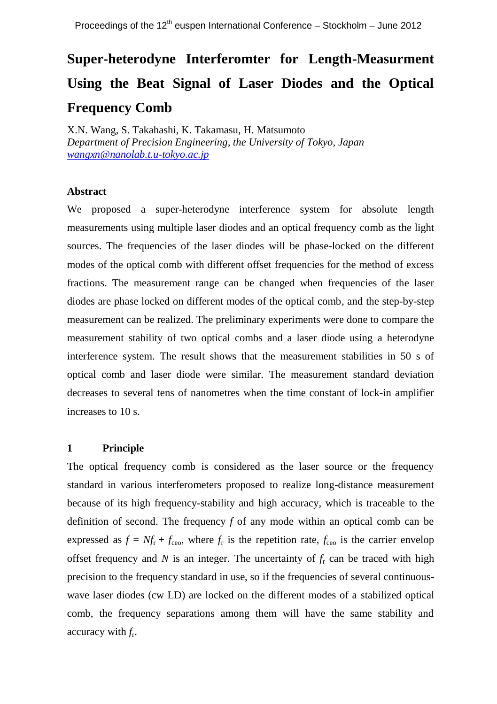# **Super-heterodyne Interferomter for Length-Measurment Using the Beat Signal of Laser Diodes and the Optical Frequency Comb**

X.N. Wang, S. Takahashi, K. Takamasu, H. Matsumoto *Department of Precision Engineering, the University of Tokyo, Japan [wangxn@nanolab.t.u-tokyo.ac.jp](mailto:wangxn@nanolab.t.u-tokyo.ac.jp)*

## **Abstract**

We proposed a super-heterodyne interference system for absolute length measurements using multiple laser diodes and an optical frequency comb as the light sources. The frequencies of the laser diodes will be phase-locked on the different modes of the optical comb with different offset frequencies for the method of excess fractions. The measurement range can be changed when frequencies of the laser diodes are phase locked on different modes of the optical comb, and the step-by-step measurement can be realized. The preliminary experiments were done to compare the measurement stability of two optical combs and a laser diode using a heterodyne interference system. The result shows that the measurement stabilities in 50 s of optical comb and laser diode were similar. The measurement standard deviation decreases to several tens of nanometres when the time constant of lock-in amplifier increases to 10 s.

## **1 Principle**

The optical frequency comb is considered as the laser source or the frequency standard in various interferometers proposed to realize long-distance measurement because of its high frequency-stability and high accuracy, which is traceable to the definition of second. The frequency *f* of any mode within an optical comb can be expressed as  $f = Nf_r + f_{ceo}$ , where  $f_r$  is the repetition rate,  $f_{ceo}$  is the carrier envelop offset frequency and  $N$  is an integer. The uncertainty of  $f<sub>r</sub>$  can be traced with high precision to the frequency standard in use, so if the frequencies of several continuouswave laser diodes (cw LD) are locked on the different modes of a stabilized optical comb, the frequency separations among them will have the same stability and accuracy with *f*<sup>r</sup> .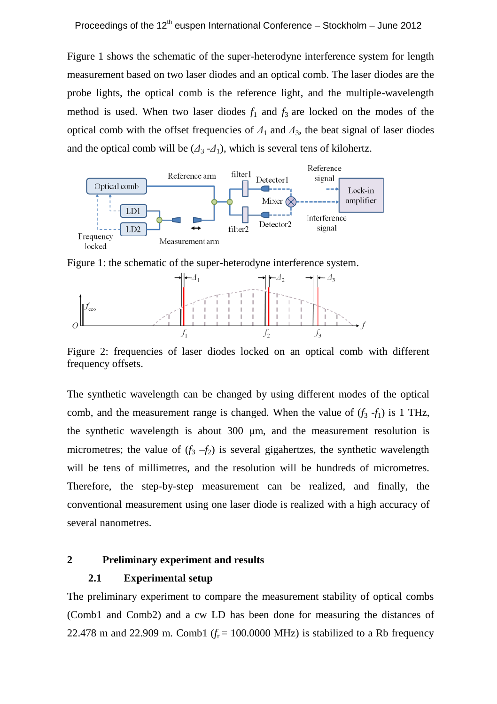Figure 1 shows the schematic of the super-heterodyne interference system for length measurement based on two laser diodes and an optical comb. The laser diodes are the probe lights, the optical comb is the reference light, and the multiple-wavelength method is used. When two laser diodes  $f_1$  and  $f_3$  are locked on the modes of the optical comb with the offset frequencies of  $\Delta_1$  and  $\Delta_3$ , the beat signal of laser diodes and the optical comb will be  $(\Delta_3 - \Delta_1)$ , which is several tens of kilohertz.



Figure 1: the schematic of the super-heterodyne interference system.



Figure 2: frequencies of laser diodes locked on an optical comb with different frequency offsets.

The synthetic wavelength can be changed by using different modes of the optical comb, and the measurement range is changed. When the value of  $(f_3 - f_1)$  is 1 THz, the synthetic wavelength is about 300 μm, and the measurement resolution is micrometres; the value of  $(f_3 - f_2)$  is several gigahertzes, the synthetic wavelength will be tens of millimetres, and the resolution will be hundreds of micrometres. Therefore, the step-by-step measurement can be realized, and finally, the conventional measurement using one laser diode is realized with a high accuracy of several nanometres.

## **2 Preliminary experiment and results**

## **2.1 Experimental setup**

The preliminary experiment to compare the measurement stability of optical combs (Comb1 and Comb2) and a cw LD has been done for measuring the distances of 22.478 m and 22.909 m. Comb1 ( $f_r = 100.0000$  MHz) is stabilized to a Rb frequency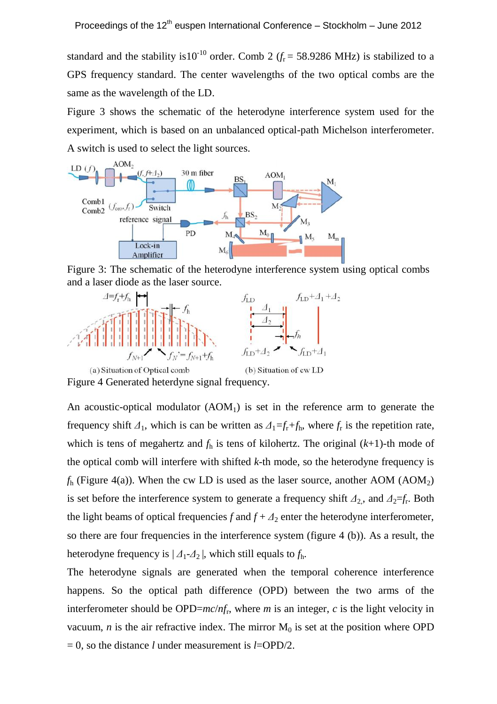standard and the stability is10<sup>-10</sup> order. Comb 2 ( $f<sub>r</sub>$  = 58.9286 MHz) is stabilized to a GPS frequency standard. The center wavelengths of the two optical combs are the same as the wavelength of the LD.

Figure 3 shows the schematic of the heterodyne interference system used for the experiment, which is based on an unbalanced optical-path Michelson interferometer. A switch is used to select the light sources.



Figure 3: The schematic of the heterodyne interference system using optical combs and a laser diode as the laser source.



An acoustic-optical modulator  $(AOM<sub>1</sub>)$  is set in the reference arm to generate the frequency shift  $\Delta_1$ , which is can be written as  $\Delta_1 = f_r + f_h$ , where  $f_r$  is the repetition rate,

which is tens of megahertz and  $f<sub>h</sub>$  is tens of kilohertz. The original  $(k+1)$ -th mode of the optical comb will interfere with shifted *k*-th mode, so the heterodyne frequency is  $f<sub>h</sub>$  (Figure 4(a)). When the cw LD is used as the laser source, another AOM (AOM<sub>2</sub>) is set before the interference system to generate a frequency shift  $\Delta_2$ , and  $\Delta_2 = f_r$ . Both the light beams of optical frequencies  $f$  and  $f + \Delta_2$  enter the heterodyne interferometer, so there are four frequencies in the interference system (figure 4 (b)). As a result, the heterodyne frequency is  $|A_1 - A_2|$ , which still equals to  $f_h$ .

The heterodyne signals are generated when the temporal coherence interference happens. So the optical path difference (OPD) between the two arms of the interferometer should be OPD=*mc*/*nf*<sup>r</sup> , where *m* is an integer, *c* is the light velocity in vacuum,  $n$  is the air refractive index. The mirror  $M_0$  is set at the position where OPD  $= 0$ , so the distance *l* under measurement is *l*=OPD/2.